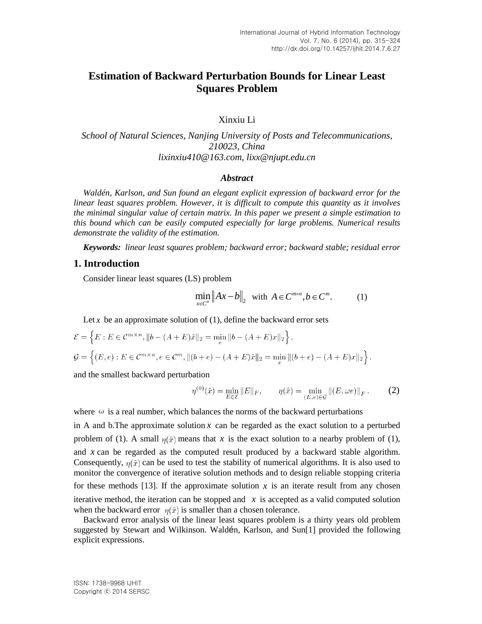# **Estimation of Backward Perturbation Bounds for Linear Least Squares Problem**

Xinxiu Li

*School of Natural Sciences, Nanjing University of Posts and Telecommunications, 210023, China lixinxiu410@163.com, [lixx@njupt.edu.cn](mailto:lixx@njupt.edu.cn)*

#### *Abstract*

*Waldén, Karlson, and Sun found an elegant explicit expression of backward error for the linear least squares problem. However, it is difficult to compute this quantity as it involves the minimal singular value of certain matrix. In this paper we present a simple estimation to this bound which can be easily computed especially for large problems. Numerical results demonstrate the validity of the estimation.*

*Keywords: linear least squares problem; backward error; backward stable; residual error*

#### **1. Introduction**

Consider linear least squares (LS) problem

$$
\min_{x \in C^n} \|Ax - b\|_2 \quad \text{with } A \in C^{m \times n}, b \in C^m. \tag{1}
$$

Let  $x$  be an approximate solution of  $(1)$ , define the backward error sets

$$
\mathcal{E} = \left\{ E : E \in \mathcal{C}^{m \times n}, \|b - (A + E)\hat{x}\|_2 = \min_x \|b - (A + E)x\|_2 \right\},\
$$
  

$$
\mathcal{G} = \left\{ (E, e) : E \in \mathcal{C}^{m \times n}, e \in \mathcal{C}^m, \|(b + e) - (A + E)\hat{x}\|_2 = \min_x \|(b + e) - (A + E)x\|_2 \right\}.
$$

and the smallest backward perturbation

$$
\eta^{(0)}(\hat{x}) = \min_{E \in \mathcal{E}} \|E\|_F, \qquad \eta(\hat{x}) = \min_{(E,e) \in \mathcal{G}} \|(E,\omega e)\|_F. \tag{2}
$$

where  $\omega$  is a real number, which balances the norms of the backward perturbations

in A and b. The approximate solution  $x$  can be regarded as the exact solution to a perturbed problem of (1). A small  $\eta(\hat{x})$  means that x is the exact solution to a nearby problem of (1), and *x* can be regarded as the computed result produced by a backward stable algorithm. Consequently,  $\eta(\hat{x})$  can be used to test the stability of numerical algorithms. It is also used to monitor the convergence of iterative solution methods and to design reliable stopping criteria for these methods [13]. If the approximate solution  $x$  is an iterate result from any chosen iterative method, the iteration can be stopped and  $\bar{x}$  is accepted as a valid computed solution when the backward error  $\eta(\hat{x})$  is smaller than a chosen tolerance.

Backward error analysis of the linear least squares problem is a thirty years old problem suggested by Stewart and Wilkinson. Waldén, Karlson, and Sun[1] provided the following explicit expressions.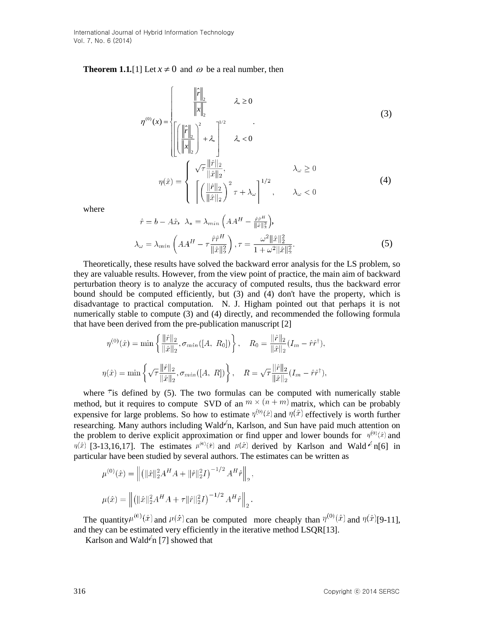**Theorem 1.1.**[1] Let  $x \neq 0$  and  $\omega$  be a real number, then

$$
\eta^{(0)}(x) = \begin{cases}\n\frac{\left\|\hat{r}\right\|_2}{\left\|x\right\|_2} & \lambda_* \ge 0 \\
\left\|\left(\frac{\left\|\hat{r}\right\|_2}{\left\|x\right\|_2}\right)^2 + \lambda_*\right\|^{1/2} & \lambda_* < 0\n\end{cases}
$$
\n
$$
\eta(\hat{x}) = \begin{cases}\n\sqrt{\tau} \frac{\left\|\hat{r}\right\|_2}{\left\|\hat{x}\right\|_2}, & \lambda_{\omega} \ge 0 \\
\left\|\left(\frac{\left\|\hat{r}\right\|_2}{\left\|\hat{x}\right\|_2}\right)^2 \tau + \lambda_{\omega}\right\|^{1/2}, & \lambda_{\omega} < 0\n\end{cases}
$$
\n(4)

where

$$
\hat{r} = b - A\hat{x}, \ \lambda_* = \lambda_{min} \left( AA^H - \frac{\hat{r}\hat{r}^H}{\|\hat{x}\|_2^2} \right),
$$

$$
\lambda_{\omega} = \lambda_{min} \left( AA^H - \tau \frac{\hat{r}\hat{r}^H}{\|\hat{x}\|_2^2} \right), \tau = \frac{\omega^2 \|\hat{x}\|_2^2}{1 + \omega^2 \|\hat{x}\|_2^2}.
$$
(5)

Theoretically, these results have solved the backward error analysis for the LS problem, so they are valuable results. However, from the view point of practice, the main aim of backward perturbation theory is to analyze the accuracy of computed results, thus the backward error bound should be computed efficiently, but (3) and (4) don't have the property, which is disadvantage to practical computation. N. J. Higham pointed out that perhaps it is not numerically stable to compute (3) and (4) directly, and recommended the following formula that have been derived from the pre-publication manuscript [2]

$$
\eta^{(0)}(\hat{x}) = \min \left\{ \frac{\|\hat{r}\|_2}{\|\hat{x}\|_2}, \sigma_{min}([A, R_0]) \right\}, \quad R_0 = \frac{\|\hat{r}\|_2}{\|\hat{x}\|_2} (I_m - \hat{r}\hat{r}^\dagger),
$$
  

$$
\eta(\hat{x}) = \min \left\{ \sqrt{\tau} \frac{\|\hat{r}\|_2}{\|\hat{x}\|_2}, \sigma_{min}([A, R]) \right\}, \quad R = \sqrt{\tau} \frac{\|\hat{r}\|_2}{\|\hat{x}\|_2} (I_m - \hat{r}\hat{r}^\dagger),
$$

where  $\tau$  is defined by (5). The two formulas can be computed with numerically stable method, but it requires to compute SVD of an  $m \times (n+m)$  matrix, which can be probably expensive for large problems. So how to estimate  $\eta^{(0)}(\hat{x})$  and  $\eta(\hat{x})$  effectively is worth further researching. Many authors including Wald<sup> $\acute{e}$ </sup>n, Karlson, and Sun have paid much attention on the problem to derive explicit approximation or find upper and lower bounds for  $\eta^{(0)}(\hat{x})$  and  $\eta(\hat{x})$  [3-13,16,17]. The estimates  $\mu^{(0)}(\hat{x})$  and  $\mu(\hat{x})$  derived by Karlson and Wald  $\hat{e}$  n[6] in particular have been studied by several authors. The estimates can be written as

 $\mathcal{L}$ 

$$
\mu^{(0)}(\hat{x}) = \left\| \left( \|\hat{x}\|_2^2 A^H A + \|\hat{r}\|_2^2 I \right)^{-1/2} A^H \hat{r} \right\|_2.
$$

$$
\mu(\hat{x}) = \left\| \left( \|\hat{x}\|_2^2 A^H A + \tau \|\hat{r}\|_2^2 I \right)^{-1/2} A^H \hat{r} \right\|_2.
$$

The quantity  $\mu^{(0)}(\hat{x})$  and  $\mu(\hat{x})$  can be computed more cheaply than  $\eta^{(0)}(\hat{x})$  and  $\eta(\hat{x})$  [9-11], and they can be estimated very efficiently in the iterative method LSQR[13].

Karlson and Wald<sup> $\epsilon$ </sup>n [7] showed that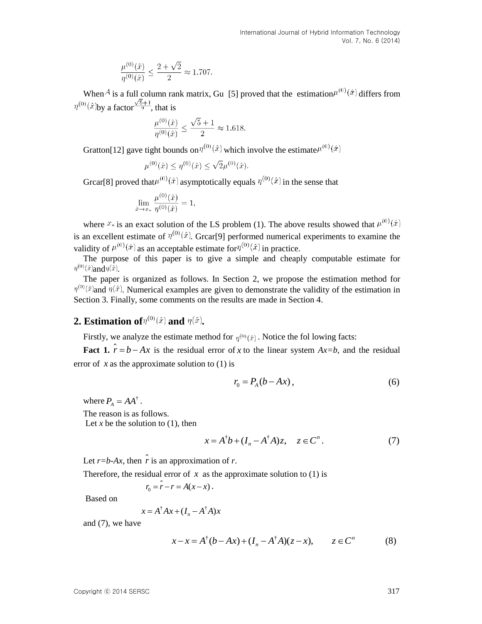$$
\frac{\mu^{(0)}(\hat{x})}{\eta^{(0)}(\hat{x})} \le \frac{2+\sqrt{2}}{2} \approx 1.707.
$$

When <sup>A</sup> is a full column rank matrix, Gu [5] proved that the estimation  $\mu^{(0)}(\hat{x})$  differs from  $\eta^{(0)}(\hat{x})$ by a factor  $\frac{\sqrt{5}+1}{2}$ , that is

$$
\frac{\mu^{(0)}(\hat{x})}{\eta^{(0)}(\hat{x})}\leq \frac{\sqrt{5}+1}{2}\approx 1.618.
$$

Gratton[12] gave tight bounds on  $\eta^{(0)}(\hat{x})$  which involve the estimate  $\mu^{(0)}(\hat{x})$ 

$$
\mu^{(0)}(\hat{x}) \le \eta^{(0)}(\hat{x}) \le \sqrt{2}\mu^{(0)}(\hat{x}).
$$

Grcar<sup>[8]</sup> proved that  $\mu^{(0)}(\hat{x})$  asymptotically equals  $\eta^{(0)}(\hat{x})$  in the sense that

$$
\lim_{\hat{x}\to x_*} \frac{\mu^{(0)}(\hat{x})}{\eta^{(0)}(\hat{x})} = 1
$$

where  $x_*$  is an exact solution of the LS problem (1). The above results showed that  $\mu^{(0)}(\hat{x})$ is an excellent estimate of  $\eta^{(0)}(\hat{x})$ . Grear[9] performed numerical experiments to examine the validity of  $\mu^{(0)}(\hat{x})$  as an acceptable estimate for  $\eta^{(0)}(\hat{x})$  in practice.

The purpose of this paper is to give a simple and cheaply computable estimate for  $\eta^{(0)}(\hat{x})$ and $\eta(\hat{x})$ .

The paper is organized as follows. In Section 2, we propose the estimation method for  $\eta^{(0)}(\hat{x})$  and  $\eta(\hat{x})$ . Numerical examples are given to demonstrate the validity of the estimation in Section 3. Finally, some comments on the results are made in Section 4.

### **2. Estimation of**  $\eta^{(0)}(\hat{x})$  and  $\eta(\hat{x})$ .

Firstly, we analyze the estimate method for  $\eta^{(0)}(\hat{x})$ . Notice the fol lowing facts:

**Fact 1.**  $r = b - Ax$  is the residual error of x to the linear system  $Ax = b$ , and the residual error of  $x$  as the approximate solution to  $(1)$  is

$$
r_0 = P_A(b - Ax),\tag{6}
$$

where  $P_A = AA^{\dagger}$ .

The reason is as follows. Let  $x$  be the solution to  $(1)$ , then

$$
x = A^{\dagger}b + (I_n - A^{\dagger}A)z, \quad z \in C^n.
$$
 (7)

Let  $r = b - Ax$ , then r is an approximation of r.

Therefore, the residual error of  $x$  as the approximate solution to  $(1)$  is

$$
r_0 = \hat{r} - r = A(x - x).
$$

Based on

$$
x = A^{\dagger} A x + (I_n - A^{\dagger} A) x
$$

and (7), we have

$$
x - x = A^{\dagger} (b - Ax) + (I_n - A^{\dagger} A)(z - x), \qquad z \in C^n
$$
 (8)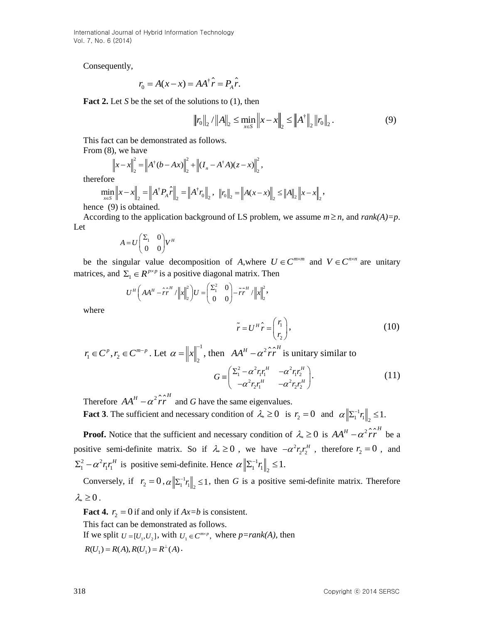International Journal of Hybrid Information Technology Vol. 7, No. 6 (2014)

Consequently,

$$
r_0 = A(x - x) = AA^{\dagger} \hat{r} = P_A \hat{r}.
$$

**Fact 2.** Let *S* be the set of the solutions to (1), then

$$
||r_0||_2 / ||A||_2 \le \min_{x \in S} ||x - x||_2 \le ||A^{\dagger}||_2 ||r_0||_2.
$$
 (9)

This fact can be demonstrated as follows.

From (8), we have

), we have  

$$
\left\|x - x\right\|_{2}^{2} = \left\|A^{\dagger}(b - Ax)\right\|_{2}^{2} + \left\|(I_{n} - A^{\dagger}A)(z - x)\right\|_{2}^{2}
$$
,

therefore

therefore  
\n
$$
\min_{x \in S} \|x - x\|_2 = \|A^\dagger P_A \hat{r}\|_2 = \|A^\dagger r_0\|_2, \quad \|r_0\|_2 = \|A(x - x)\|_2 \le \|A\|_2 \|x - x\|_2,
$$
\nhence (9) is obtained.

According to the application background of LS problem, we assume  $m \ge n$ , and  $rank(A)=p$ . Let

$$
A = U \begin{pmatrix} \Sigma_1 & 0 \\ 0 & 0 \end{pmatrix} V^H
$$

be the singular value decomposition of *A*, where  $U \in C^{m \times m}$  and  $V \in C^{m \times n}$  are unitary matrices, and  $\Sigma_1 \in R^{p \times p}$  is a positive diagonal matrix. Then

1 
$$
\Sigma_1 \in R^{p \times p}
$$
 is a positive diagonal matrix. Then  
\n
$$
U^H \left( AA^H - \hat{r} \hat{r}^H / \left\| x \right\|_2^2 \right) U = \begin{pmatrix} \Sigma_1^2 & 0 \\ 0 & 0 \end{pmatrix} - \tilde{r} \tilde{r}^H / \left\| x \right\|_2^2,
$$

where

$$
\tilde{r} = U^H \hat{r} = \begin{pmatrix} r_1 \\ r_2 \end{pmatrix},\tag{10}
$$

$$
r_1 \in C^p, r_2 \in C^{m-p}
$$
. Let  $\alpha = ||x||_2^{-1}$ , then  $AA^H - \alpha^2 \hat{r} \hat{r}^H$  is unitary similar to  

$$
G = \left( \sum_{i=1}^{p-1} \alpha^2 r_i r_i^H - \alpha^2 r_i r_i^H \right).
$$

 $G \equiv \begin{pmatrix} \Sigma_1^2 - \alpha^2 r_\text{I} r_\text{I}^H & -\alpha^2 r_\text{I} r_\text{I}^H \ -\alpha^2 r_\text{2} r_\text{I}^H & -\alpha^2 r_\text{2} r_\text{I}^H \end{pmatrix}.$  $(11)$ 

Therefore  $AA^H - \alpha^2 \hat{r} \hat{r}^H$  and *G* have the same eigenvalues. **Fact 3**. The sufficient and necessary condition of  $\lambda_* \ge 0$  is  $r_2 = 0$  and  $\alpha \|\Sigma_1^{-1}\|$  $\alpha \left\| \sum_{1}^{-1} r_{1} \right\|_{2} \leq 1.$ 

**Proof.** Notice that the sufficient and necessary condition of  $\lambda_* \ge 0$  is  $AA^H - \alpha^2 \hat{r} \hat{r}^H$  be a positive semi-definite matrix. So if  $\lambda_* \ge 0$ , we have  $-\alpha^2 r_2 r_2^H$ , therefore  $r_2 = 0$ , and 2  $\sim^2$  $\sum_{1}^{2} -\alpha^2 r_1 r_1^H$  is positive semi-definite. Hence  $\alpha \|\Sigma_1^{-1}\|$  $\alpha \left\| \sum_{1}^{-1} r_{1} \right\|_{2} \leq 1.$ 

Conversely, if  $r_2 = 0$ ,  $\alpha \|\Sigma_1^{-1}r_1\|_2 \le 1$ , then *G* is a positive semi-definite matrix. Therefore  $\lambda_* \geq 0$ .

**Fact 4.**  $r_2 = 0$  if and only if  $Ax = b$  is consistent.

This fact can be demonstrated as follows. If we split  $U = [U_1, U_2]$ , with  $U_1 \in C^{m \times p}$ , where  $p = rank(A)$ , then  $R(U_1) = R(A), R(U_1) = R^{\perp}(A).$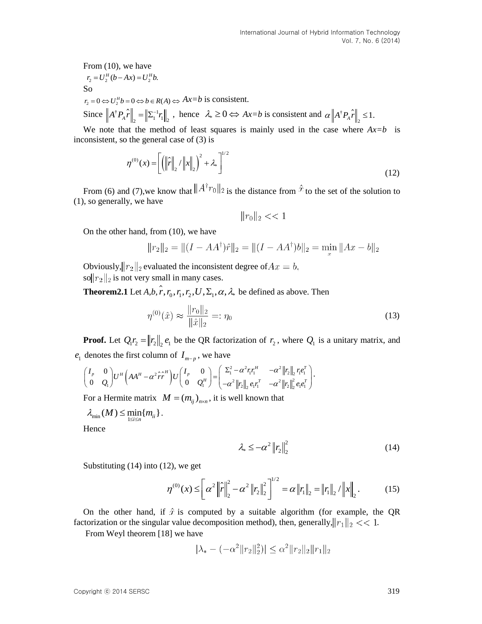From (10), we have  $r_2 = U_2^H (b - Ax) = U_2^H b$ . So  $r_2 = 0 \Leftrightarrow U_2^H b = 0 \Leftrightarrow b \in R(A) \Leftrightarrow Ax = b$  is consistent. Since  $||A^{\dagger}P_{A}\hat{r}||_{2} = ||\Sigma_{1}^{-1}r_{1}||_{2}$ , hence  $\lambda_{*} \ge 0 \Leftrightarrow Ax = b$  is consistent and  $\alpha||A^{\dagger}$  $\alpha \left\| A^{\dagger} P_{A} \hat{r} \right\|_{2} \leq 1.$ 

We note that the method of least squares is mainly used in the case where  $Ax=b$  is inconsistent, so the general case of (3) is

$$
\eta^{(0)}(x) = \left[ \left( \left\| \hat{r} \right\|_{2} / \left\| x \right\|_{2} \right)^{2} + \lambda_{*} \right]^{1/2} \tag{12}
$$

From (6) and (7), we know that  $||A^{\dagger}r_0||_2$  is the distance from  $\hat{x}$  to the set of the solution to (1), so generally, we have

 $||r_0||_2 << 1$ 

On the other hand, from (10), we have

$$
||r_2||_2 = ||(I - AA^{\dagger})\hat{r}||_2 = ||(I - AA^{\dagger})b||_2 = \min_x ||Ax - b||_2
$$

Obviously,  $||r_2||_2$  evaluated the inconsistent degree of  $Ax = b$ , sol $||r_2||_2$  is not very small in many cases.

**Theorem2.1** Let  $A, b, \hat{r}, r_0, r_1, r_2, U, \Sigma_1, \alpha, \lambda_*$  be defined as above. Then

$$
\eta^{(0)}(\hat{x}) \approx \frac{\|r_0\|_2}{\|\hat{x}\|_2} =: \eta_0 \tag{13}
$$

**Proof.** Let  $Q_1 r_2 = ||r_2||_2 e_1$  be the QR factorization of  $r_2$ , where  $Q_1$  is a unitary matrix, and<br>denotes the first column of  $I_{m-p}$ , we have<br> $\begin{pmatrix} I_p & 0 \\ 0 & 0 \end{pmatrix} U^H \begin{pmatrix} A A^H - \alpha^2 \hat{r} \hat{r}^H \end{pmatrix} U \begin{pmatrix} I_p & 0$  $e_1$  denotes the first column of  $I_{m-p}$ , we have

$$
\begin{aligned}\n\text{In our fact, } \mathcal{Q}_1 r_2 &= \|r_2\|_2 \, \epsilon_1 \text{ of the QK factorization of } r_2 \text{, where } \mathcal{Q}_1 \text{ is a unit}\\
\text{denotes the first column of } I_{m-p} \text{, we have} \\
\begin{pmatrix} I_p & 0 \\ 0 & Q_1 \end{pmatrix} U^H \left( AA^H - \alpha^2 \hat{r} \hat{r}^H \right) U \begin{pmatrix} I_p & 0 \\ 0 & Q_1^H \end{pmatrix} = \begin{pmatrix} \Sigma_1^2 - \alpha^2 r_1 r_1^H & -\alpha^2 \|r_2\|_2 \, r_1 e_1^T \\ -\alpha^2 \|r_2\|_2 \, e_1 r_1^T & -\alpha^2 \|r_2\|_2^2 \, e_1 e_1^T \end{pmatrix}.\n\end{aligned}
$$

For a Hermite matrix  $M = (m_{ij})_{n \times n}$ , it is well known that

 $\lambda_{\min}(M) \leq \min_{1 \leq i \leq n} \{m_{ii}\}.$ 

**Hence** 

$$
\lambda_{*} \leq -\alpha^2 \left\| r_2 \right\|_{2}^{2} \tag{14}
$$

Substituting (14) into (12), we get

2), we get  
\n
$$
\eta^{(0)}(x) \le \left[\alpha^2 \left\|\hat{r}\right\|_2^2 - \alpha^2 \left\|r_2\right\|_2^2\right]^{1/2} = \alpha \left\|r_1\right\|_2 = \left\|r_1\right\|_2 / \left\|x\right\|_2.
$$
\n(15)

On the other hand, if  $\hat{x}$  is computed by a suitable algorithm (for example, the OR factorization or the singular value decomposition method), then, generally,  $||r_1||_2 << 1$ .

From Weyl theorem [18] we have

$$
|\lambda_* - (-\alpha^2 ||r_2||_2^2)| \le \alpha^2 ||r_2||_2 ||r_1||_2
$$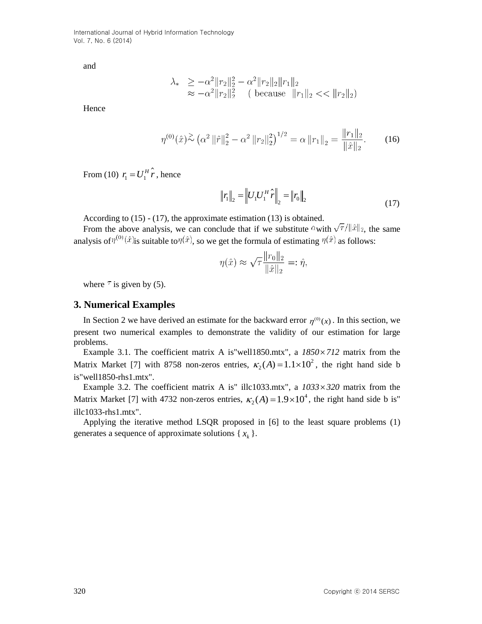International Journal of Hybrid Information Technology Vol. 7, No. 6 (2014)

and

$$
\lambda_* \ge -\alpha^2 \|r_2\|_2^2 - \alpha^2 \|r_2\|_2 \|r_1\|_2
$$
  
  $\approx -\alpha^2 \|r_2\|_2^2$  ( because  $||r_1||_2 \ll ||r_2||_2$ )

**Hence** 

$$
\eta^{(0)}(\hat{x}) \stackrel{\sum}{\sim} \left(\alpha^2 \left\|\hat{r}\right\|_2^2 - \alpha^2 \left\|r_2\right\|_2^2\right)^{1/2} = \alpha \left\|r_1\right\|_2 = \frac{\|r_1\|_2}{\|\hat{x}\|_2}.\tag{16}
$$

From (10)  $r_1 = U_1^T$  $r_1 = U_1^H \hat{r}$ , hence

$$
\|r_1\|_2 = \left\|U_1 U_1^H \hat{r}\right\|_2 = \left\|r_0\right\|_2 \tag{17}
$$

According to (15) - (17), the approximate estimation (13) is obtained.

From the above analysis, we can conclude that if we substitute  $\alpha$  with  $\sqrt{\tau}/\|\hat{x}\|_2$ , the same analysis of  $\eta^{(0)}(\hat{x})$  is suitable to  $\eta(\hat{x})$ , so we get the formula of estimating  $\eta(\hat{x})$  as follows:

$$
\eta(\hat{x}) \approx \sqrt{\tau} \frac{\|r_0\|_2}{\|\hat{x}\|_2} =: \hat{\eta},
$$

where  $\tau$  is given by (5).

#### **3. Numerical Examples**

In Section 2 we have derived an estimate for the backward error  $\eta^{(0)}(x)$ . In this section, we present two numerical examples to demonstrate the validity of our estimation for large problems.

Example 3.1. The coefficient matrix A is "well1850.mtx", a  $1850 \times 712$  matrix from the Matrix Market [7] with 8758 non-zeros entries,  $\kappa_2(A) = 1.1 \times 10^2$ , the right hand side b is"well1850-rhs1.mtx".

Example 3.2. The coefficient matrix A is" illc1033.mtx", a  $1033 \times 320$  matrix from the Matrix Market [7] with 4732 non-zeros entries,  $\kappa_2(A) = 1.9 \times 10^4$ , the right hand side b is" illc1033-rhs1.mtx".

Applying the iterative method LSQR proposed in [6] to the least square problems (1) generates a sequence of approximate solutions  $\{x_k\}$ .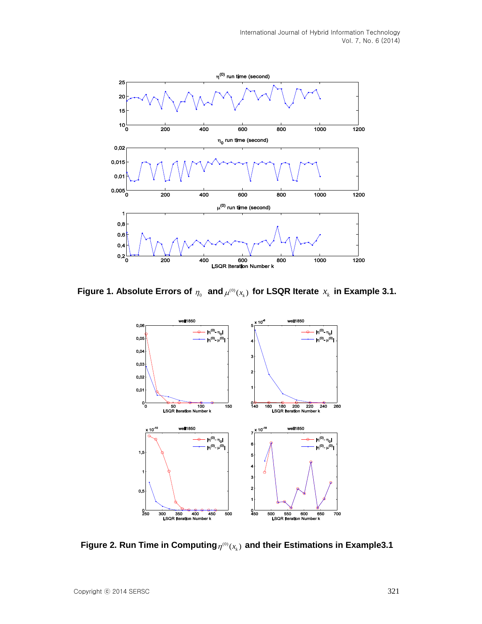

Figure 1. Absolute Errors of  $\eta_{_0}$  and  $\mu^{^{(0)}}(x_{_k})$  for LSQR Iterate  $x_{_k}$  in Example 3.1.



Figure 2. Run Time in Computing $_{\eta^{(0)}(x_{_{k}})}$  and their Estimations in Example3.1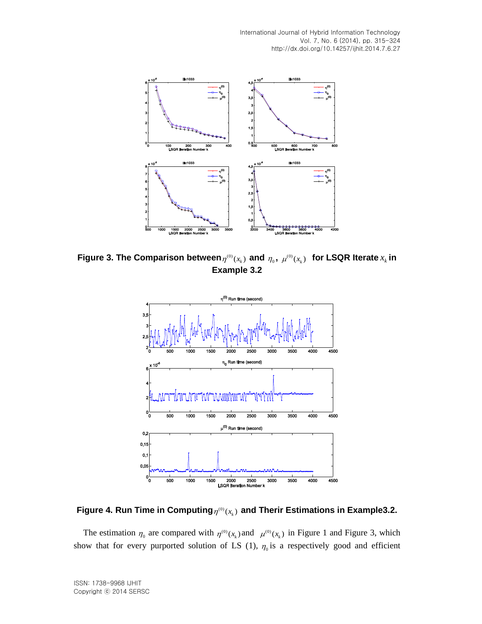

Figure 3. The Comparison between $\eta^{^{(0)}}(x_k)$  and  $\eta_{_0},\ \mu^{^{(0)}}(x_k)$  for LSQR Iterate  $x_k$  in **Example 3.2**



Figure 4. Run Time in Computing $_{\eta^{(0)}(x_{_{k}})}$  and Therir Estimations in Example3.2.

The estimation  $\eta_0$  are compared with  $\eta^{(0)}(x_k)$  and  $\mu^{(0)}(x_k)$  in Figure 1 and Figure 3, which show that for every purported solution of LS (1),  $\eta_0$  is a respectively good and efficient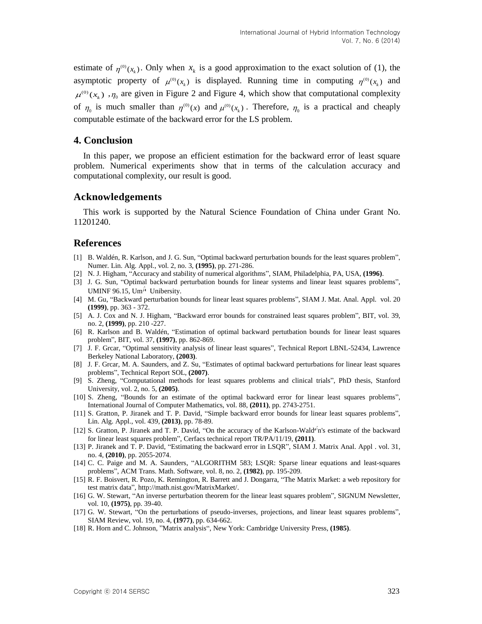estimate of  $\eta^{(0)}(x_k)$ . Only when  $x_k$  is a good approximation to the exact solution of (1), the asymptotic property of  $\mu^{(0)}(x_k)$  is displayed. Running time in computing  $\eta^{(0)}(x_k)$  and  $\mu^{(0)}(x_k)$ ,  $\eta_0$  are given in Figure 2 and Figure 4, which show that computational complexity of  $\eta_0$  is much smaller than  $\eta^{(0)}(x)$  and  $\mu^{(0)}(x_k)$ . Therefore,  $\eta_0$  is a practical and cheaply computable estimate of the backward error for the LS problem.

### **4. Conclusion**

In this paper, we propose an efficient estimation for the backward error of least square problem. Numerical experiments show that in terms of the calculation accuracy and computational complexity, our result is good.

### **Acknowledgements**

This work is supported by the Natural Science Foundation of China under Grant No. 11201240.

### **References**

- [1] B. Waldén, R. Karlson, and J. G. Sun, "Optimal backward perturbation bounds for the least squares problem", Numer. Lin. Alg. Appl., vol. 2, no. 3, **(1995)**, pp. 271-286.
- [2] N. J. Higham, "Accuracy and stability of numerical algorithms", SIAM, Philadelphia, PA, USA, **(1996)**.
- [3] J. G. Sun, "Optimal backward perturbation bounds for linear systems and linear least squares problems", UMINF 96.15, Um<sup>3</sup> Unibersity.
- [4] M. Gu, "Backward perturbation bounds for linear least squares problems", SIAM J. Mat. Anal. Appl. vol. 20 **(1999)**, pp. 363 - 372.
- [5] A. J. Cox and N. J. Higham, "Backward error bounds for constrained least squares problem", BIT, vol. 39, no. 2, **(1999)**, pp. 210 -227.
- [6] R. Karlson and B. Waldén, "Estimation of optimal backward pertutbation bounds for linear least squares problem", BIT, vol. 37, **(1997)**, pp. 862-869.
- [7] J. F. Grcar, "Optimal sensitivity analysis of linear least squares", Technical Report LBNL-52434, Lawrence Berkeley National Laboratory, **(2003)**.
- [8] J. F. Grcar, M. A. Saunders, and Z. Su, "Estimates of optimal backward perturbations for linear least squares problems", Technical Report SOL, **(2007)**.
- [9] S. Zheng, "Computational methods for least squares problems and clinical trials", PhD thesis, Stanford University, vol. 2, no. 5, **(2005)**.
- [10] S. Zheng, "Bounds for an estimate of the optimal backward error for linear least squares problems", International Journal of Computer Mathematics, vol. 88, **(2011)**, pp. 2743-2751.
- [11] S. Gratton, P. Jiranek and T. P. David, "Simple backward error bounds for linear least squares problems", Lin. Alg. Appl., vol. 439, **(2013)**, pp. 78-89.
- [12] S. Gratton, P. Jiranek and T. P. David, "On the accuracy of the Karlson-Wald<sup>e'</sup>n's estimate of the backward for linear least squares problem", Cerfacs technical report TR/PA/11/19, **(2011)**.
- [13] P. Jiranek and T. P. David, "Estimating the backward error in LSQR", SIAM J. Matrix Anal. Appl . vol. 31, no. 4, **(2010)**, pp. 2055-2074.
- [14] C. C. Paige and M. A. Saunders, "ALGORITHM 583; LSQR: Sparse linear equations and least-squares problems", ACM Trans. Math. Software, vol. 8, no. 2, **(1982)**, pp. 195-209.
- [15] R. F. Boisvert, R. Pozo, K. Remington, R. Barrett and J. Dongarra, "The Matrix Market: a web repository for test matrix data", [http://math.nist.gov/MatrixMarket/.](http://math.nist.gov/MatrixMarket/)
- [16] G. W. Stewart, "An inverse perturbation theorem for the linear least squares problem", SIGNUM Newsletter, vol. 10, **(1975)**, pp. 39-40.
- [17] G. W. Stewart, "On the perturbations of pseudo-inverses, projections, and linear least squares problems", SIAM Review, vol. 19, no. 4, **(1977)**, pp. 634-662.
- [18] R. Horn and C. Johnson, "Matrix analysis", New York: Cambridge University Press, **(1985)**.